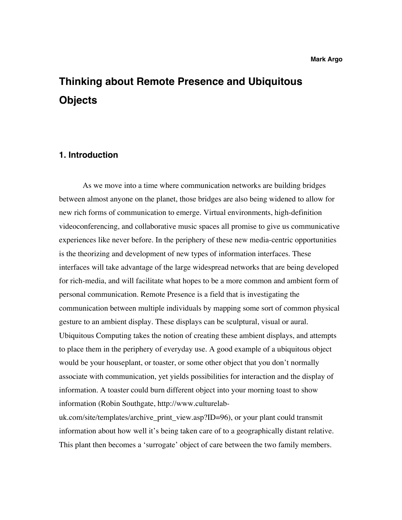# **Thinking about Remote Presence and Ubiquitous Objects**

## **1. Introduction**

As we move into a time where communication networks are building bridges between almost anyone on the planet, those bridges are also being widened to allow for new rich forms of communication to emerge. Virtual environments, high-definition videoconferencing, and collaborative music spaces all promise to give us communicative experiences like never before. In the periphery of these new media-centric opportunities is the theorizing and development of new types of information interfaces. These interfaces will take advantage of the large widespread networks that are being developed for rich-media, and will facilitate what hopes to be a more common and ambient form of personal communication. Remote Presence is a field that is investigating the communication between multiple individuals by mapping some sort of common physical gesture to an ambient display. These displays can be sculptural, visual or aural. Ubiquitous Computing takes the notion of creating these ambient displays, and attempts to place them in the periphery of everyday use. A good example of a ubiquitous object would be your houseplant, or toaster, or some other object that you don't normally associate with communication, yet yields possibilities for interaction and the display of information. A toaster could burn different object into your morning toast to show information (Robin Southgate, http://www.culturelab-

uk.com/site/templates/archive\_print\_view.asp?ID=96), or your plant could transmit information about how well it's being taken care of to a geographically distant relative. This plant then becomes a 'surrogate' object of care between the two family members.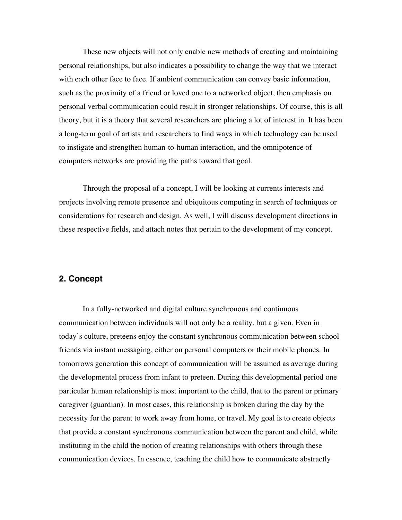These new objects will not only enable new methods of creating and maintaining personal relationships, but also indicates a possibility to change the way that we interact with each other face to face. If ambient communication can convey basic information, such as the proximity of a friend or loved one to a networked object, then emphasis on personal verbal communication could result in stronger relationships. Of course, this is all theory, but it is a theory that several researchers are placing a lot of interest in. It has been a long-term goal of artists and researchers to find ways in which technology can be used to instigate and strengthen human-to-human interaction, and the omnipotence of computers networks are providing the paths toward that goal.

Through the proposal of a concept, I will be looking at currents interests and projects involving remote presence and ubiquitous computing in search of techniques or considerations for research and design. As well, I will discuss development directions in these respective fields, and attach notes that pertain to the development of my concept.

## **2. Concept**

In a fully-networked and digital culture synchronous and continuous communication between individuals will not only be a reality, but a given. Even in today's culture, preteens enjoy the constant synchronous communication between school friends via instant messaging, either on personal computers or their mobile phones. In tomorrows generation this concept of communication will be assumed as average during the developmental process from infant to preteen. During this developmental period one particular human relationship is most important to the child, that to the parent or primary caregiver (guardian). In most cases, this relationship is broken during the day by the necessity for the parent to work away from home, or travel. My goal is to create objects that provide a constant synchronous communication between the parent and child, while instituting in the child the notion of creating relationships with others through these communication devices. In essence, teaching the child how to communicate abstractly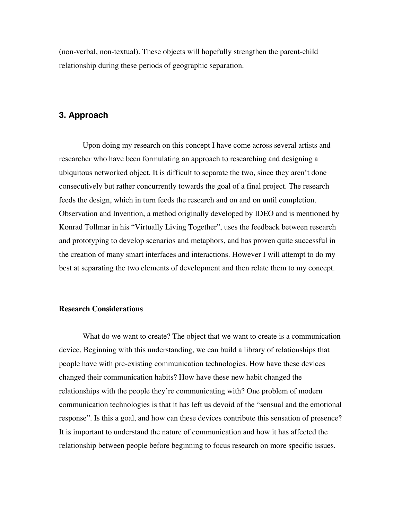(non-verbal, non-textual). These objects will hopefully strengthen the parent-child relationship during these periods of geographic separation.

## **3. Approach**

Upon doing my research on this concept I have come across several artists and researcher who have been formulating an approach to researching and designing a ubiquitous networked object. It is difficult to separate the two, since they aren't done consecutively but rather concurrently towards the goal of a final project. The research feeds the design, which in turn feeds the research and on and on until completion. Observation and Invention, a method originally developed by IDEO and is mentioned by Konrad Tollmar in his "Virtually Living Together", uses the feedback between research and prototyping to develop scenarios and metaphors, and has proven quite successful in the creation of many smart interfaces and interactions. However I will attempt to do my best at separating the two elements of development and then relate them to my concept.

### **Research Considerations**

What do we want to create? The object that we want to create is a communication device. Beginning with this understanding, we can build a library of relationships that people have with pre-existing communication technologies. How have these devices changed their communication habits? How have these new habit changed the relationships with the people they're communicating with? One problem of modern communication technologies is that it has left us devoid of the "sensual and the emotional response". Is this a goal, and how can these devices contribute this sensation of presence? It is important to understand the nature of communication and how it has affected the relationship between people before beginning to focus research on more specific issues.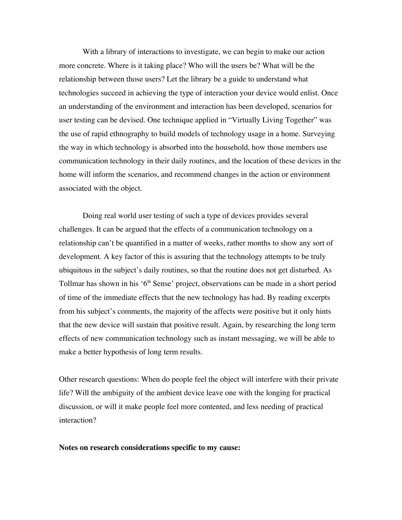With a library of interactions to investigate, we can begin to make our action more concrete. Where is it taking place? Who will the users be? What will be the relationship between those users? Let the library be a guide to understand what technologies succeed in achieving the type of interaction your device would enlist. Once an understanding of the environment and interaction has been developed, scenarios for user testing can be devised. One technique applied in "Virtually Living Together" was the use of rapid ethnography to build models of technology usage in a home. Surveying the way in which technology is absorbed into the household, how those members use communication technology in their daily routines, and the location of these devices in the home will inform the scenarios, and recommend changes in the action or environment associated with the object.

Doing real world user testing of such a type of devices provides several challenges. It can be argued that the effects of a communication technology on a relationship can't be quantified in a matter of weeks, rather months to show any sort of development. A key factor of this is assuring that the technology attempts to be truly ubiquitous in the subject's daily routines, so that the routine does not get disturbed. As Tollmar has shown in his '6<sup>th</sup> Sense' project, observations can be made in a short period of time of the immediate effects that the new technology has had. By reading excerpts from his subject's comments, the majority of the affects were positive but it only hints that the new device will sustain that positive result. Again, by researching the long term effects of new communication technology such as instant messaging, we will be able to make a better hypothesis of long term results.

Other research questions: When do people feel the object will interfere with their private life? Will the ambiguity of the ambient device leave one with the longing for practical discussion, or will it make people feel more contented, and less needing of practical interaction?

### **Notes on research considerations specific to my cause:**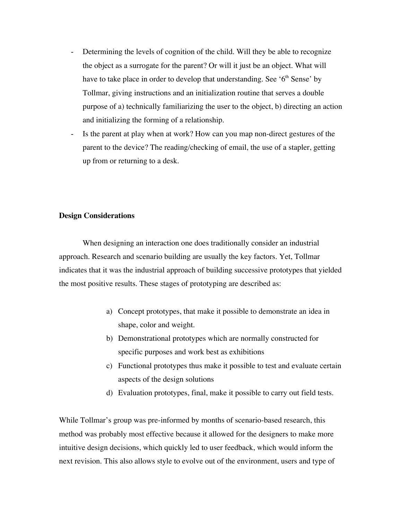- Determining the levels of cognition of the child. Will they be able to recognize the object as a surrogate for the parent? Or will it just be an object. What will have to take place in order to develop that understanding. See ' $6<sup>th</sup>$  Sense' by Tollmar, giving instructions and an initialization routine that serves a double purpose of a) technically familiarizing the user to the object, b) directing an action and initializing the forming of a relationship.
- Is the parent at play when at work? How can you map non-direct gestures of the parent to the device? The reading/checking of email, the use of a stapler, getting up from or returning to a desk.

## **Design Considerations**

When designing an interaction one does traditionally consider an industrial approach. Research and scenario building are usually the key factors. Yet, Tollmar indicates that it was the industrial approach of building successive prototypes that yielded the most positive results. These stages of prototyping are described as:

- a) Concept prototypes, that make it possible to demonstrate an idea in shape, color and weight.
- b) Demonstrational prototypes which are normally constructed for specific purposes and work best as exhibitions
- c) Functional prototypes thus make it possible to test and evaluate certain aspects of the design solutions
- d) Evaluation prototypes, final, make it possible to carry out field tests.

While Tollmar's group was pre-informed by months of scenario-based research, this method was probably most effective because it allowed for the designers to make more intuitive design decisions, which quickly led to user feedback, which would inform the next revision. This also allows style to evolve out of the environment, users and type of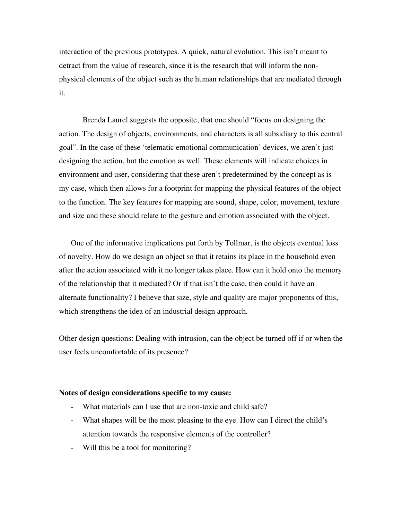interaction of the previous prototypes. A quick, natural evolution. This isn't meant to detract from the value of research, since it is the research that will inform the nonphysical elements of the object such as the human relationships that are mediated through it.

Brenda Laurel suggests the opposite, that one should "focus on designing the action. The design of objects, environments, and characters is all subsidiary to this central goal". In the case of these 'telematic emotional communication' devices, we aren't just designing the action, but the emotion as well. These elements will indicate choices in environment and user, considering that these aren't predetermined by the concept as is my case, which then allows for a footprint for mapping the physical features of the object to the function. The key features for mapping are sound, shape, color, movement, texture and size and these should relate to the gesture and emotion associated with the object.

One of the informative implications put forth by Tollmar, is the objects eventual loss of novelty. How do we design an object so that it retains its place in the household even after the action associated with it no longer takes place. How can it hold onto the memory of the relationship that it mediated? Or if that isn't the case, then could it have an alternate functionality? I believe that size, style and quality are major proponents of this, which strengthens the idea of an industrial design approach.

Other design questions: Dealing with intrusion, can the object be turned off if or when the user feels uncomfortable of its presence?

#### **Notes of design considerations specific to my cause:**

- What materials can I use that are non-toxic and child safe?
- What shapes will be the most pleasing to the eye. How can I direct the child's attention towards the responsive elements of the controller?
- Will this be a tool for monitoring?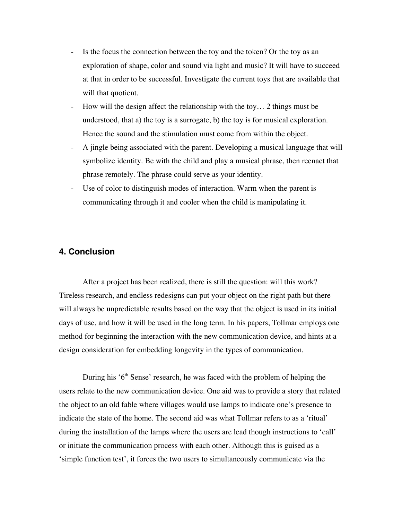- Is the focus the connection between the toy and the token? Or the toy as an exploration of shape, color and sound via light and music? It will have to succeed at that in order to be successful. Investigate the current toys that are available that will that quotient.
- How will the design affect the relationship with the toy… 2 things must be understood, that a) the toy is a surrogate, b) the toy is for musical exploration. Hence the sound and the stimulation must come from within the object.
- A jingle being associated with the parent. Developing a musical language that will symbolize identity. Be with the child and play a musical phrase, then reenact that phrase remotely. The phrase could serve as your identity.
- Use of color to distinguish modes of interaction. Warm when the parent is communicating through it and cooler when the child is manipulating it.

## **4. Conclusion**

After a project has been realized, there is still the question: will this work? Tireless research, and endless redesigns can put your object on the right path but there will always be unpredictable results based on the way that the object is used in its initial days of use, and how it will be used in the long term. In his papers, Tollmar employs one method for beginning the interaction with the new communication device, and hints at a design consideration for embedding longevity in the types of communication.

During his  $6<sup>th</sup>$  Sense' research, he was faced with the problem of helping the users relate to the new communication device. One aid was to provide a story that related the object to an old fable where villages would use lamps to indicate one's presence to indicate the state of the home. The second aid was what Tollmar refers to as a 'ritual' during the installation of the lamps where the users are lead though instructions to 'call' or initiate the communication process with each other. Although this is guised as a 'simple function test', it forces the two users to simultaneously communicate via the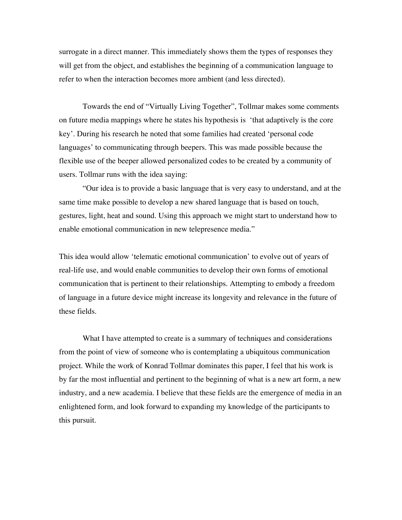surrogate in a direct manner. This immediately shows them the types of responses they will get from the object, and establishes the beginning of a communication language to refer to when the interaction becomes more ambient (and less directed).

Towards the end of "Virtually Living Together", Tollmar makes some comments on future media mappings where he states his hypothesis is 'that adaptively is the core key'. During his research he noted that some families had created 'personal code languages' to communicating through beepers. This was made possible because the flexible use of the beeper allowed personalized codes to be created by a community of users. Tollmar runs with the idea saying:

"Our idea is to provide a basic language that is very easy to understand, and at the same time make possible to develop a new shared language that is based on touch, gestures, light, heat and sound. Using this approach we might start to understand how to enable emotional communication in new telepresence media."

This idea would allow 'telematic emotional communication' to evolve out of years of real-life use, and would enable communities to develop their own forms of emotional communication that is pertinent to their relationships. Attempting to embody a freedom of language in a future device might increase its longevity and relevance in the future of these fields.

What I have attempted to create is a summary of techniques and considerations from the point of view of someone who is contemplating a ubiquitous communication project. While the work of Konrad Tollmar dominates this paper, I feel that his work is by far the most influential and pertinent to the beginning of what is a new art form, a new industry, and a new academia. I believe that these fields are the emergence of media in an enlightened form, and look forward to expanding my knowledge of the participants to this pursuit.